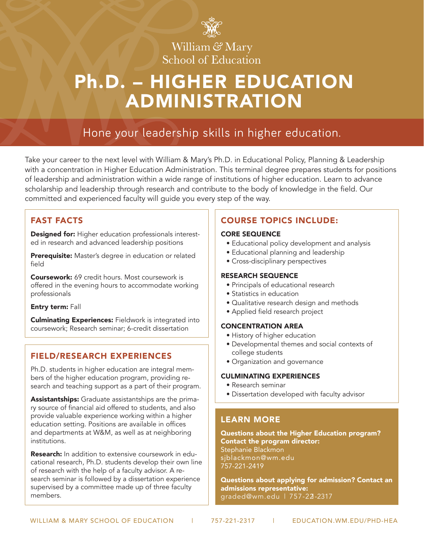

# William & Mary School of Education

# Ph.D. – HIGHER EDUCATION ADMINISTRATION

# Hone your leadership skills in higher education.

Take your career to the next level with William & Mary's Ph.D. in Educational Policy, Planning & Leadership with a concentration in Higher Education Administration. This terminal degree prepares students for positions of leadership and administration within a wide range of institutions of higher education. Learn to advance scholarship and leadership through research and contribute to the body of knowledge in the field. Our committed and experienced faculty will guide you every step of the way.

### FAST FACTS

Designed for: Higher education professionals interested in research and advanced leadership positions

Prerequisite: Master's degree in education or related field

Coursework: 69 credit hours. Most coursework is offered in the evening hours to accommodate working professionals

### Entry term: Fall

Culminating Experiences: Fieldwork is integrated into coursework; Research seminar; 6-credit dissertation

### FIELD/RESEARCH EXPERIENCES

Ph.D. students in higher education are integral members of the higher education program, providing research and teaching support as a part of their program.

Assistantships: Graduate assistantships are the primary source of financial aid offered to students, and also provide valuable experience working within a higher education setting. Positions are available in offices and departments at W&M, as well as at neighboring institutions.

Research: In addition to extensive coursework in educational research, Ph.D. students develop their own line of research with the help of a faculty advisor. A research seminar is followed by a dissertation experience supervised by a committee made up of three faculty members.

### COURSE TOPICS INCLUDE:

#### CORE SEQUENCE

- Educational policy development and analysis
- Educational planning and leadership
- Cross-disciplinary perspectives

### RESEARCH SEQUENCE

- Principals of educational research
- Statistics in education
- Qualitative research design and methods
- Applied field research project

### CONCENTRATION AREA

- History of higher education
- Developmental themes and social contexts of college students
- Organization and governance

### CULMINATING EXPERIENCES

- Research seminar
- Dissertation developed with faculty advisor

### LEARN MORE

Questions about the Higher Education program? Contact the program director: Stephanie Blackmon sjblackmon@wm.edu 757-221-2419

Questions about applying for admission? Contact an admissions representative: graded@wm.edu | 757-221-2317